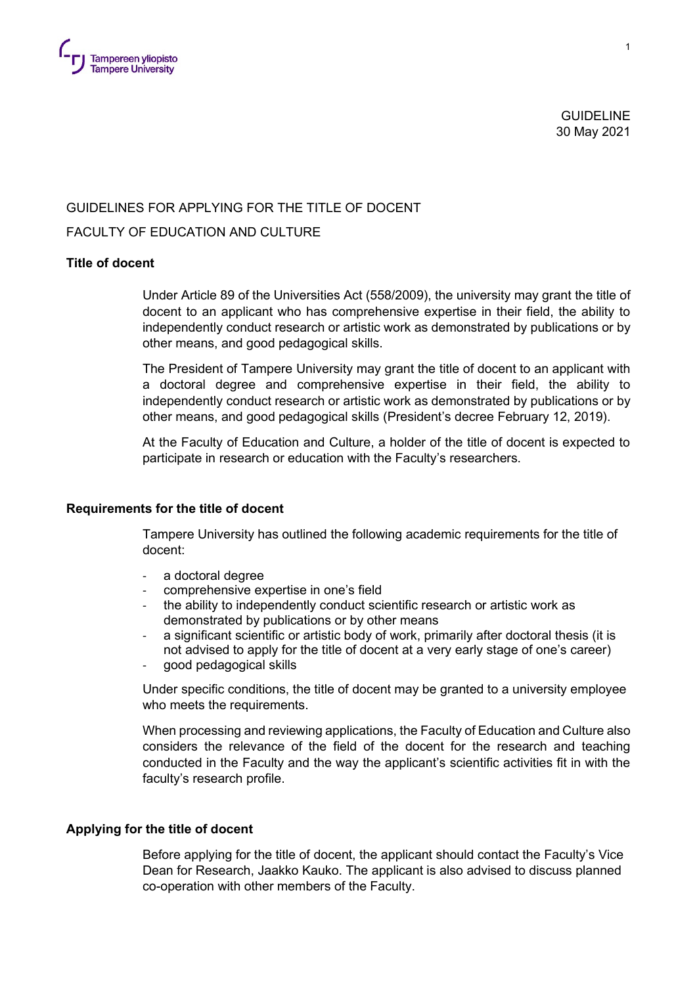

 GUIDELINE 30 May 2021

## GUIDELINES FOR APPLYING FOR THE TITLE OF DOCENT

# FACULTY OF EDUCATION AND CULTURE

## **Title of docent**

Under Article 89 of the Universities Act (558/2009), the university may grant the title of docent to an applicant who has comprehensive expertise in their field, the ability to independently conduct research or artistic work as demonstrated by publications or by other means, and good pedagogical skills.

The President of Tampere University may grant the title of docent to an applicant with a doctoral degree and comprehensive expertise in their field, the ability to independently conduct research or artistic work as demonstrated by publications or by other means, and good pedagogical skills (President's decree February 12, 2019).

At the Faculty of Education and Culture, a holder of the title of docent is expected to participate in research or education with the Faculty's researchers.

#### **Requirements for the title of docent**

Tampere University has outlined the following academic requirements for the title of docent:

- a doctoral degree
- comprehensive expertise in one's field
- the ability to independently conduct scientific research or artistic work as demonstrated by publications or by other means
- a significant scientific or artistic body of work, primarily after doctoral thesis (it is not advised to apply for the title of docent at a very early stage of one's career)
- good pedagogical skills

Under specific conditions, the title of docent may be granted to a university employee who meets the requirements.

When processing and reviewing applications, the Faculty of Education and Culture also considers the relevance of the field of the docent for the research and teaching conducted in the Faculty and the way the applicant's scientific activities fit in with the faculty's research profile.

### **Applying for the title of docent**

Before applying for the title of docent, the applicant should contact the Faculty's Vice Dean for Research, Jaakko Kauko. The applicant is also advised to discuss planned co-operation with other members of the Faculty.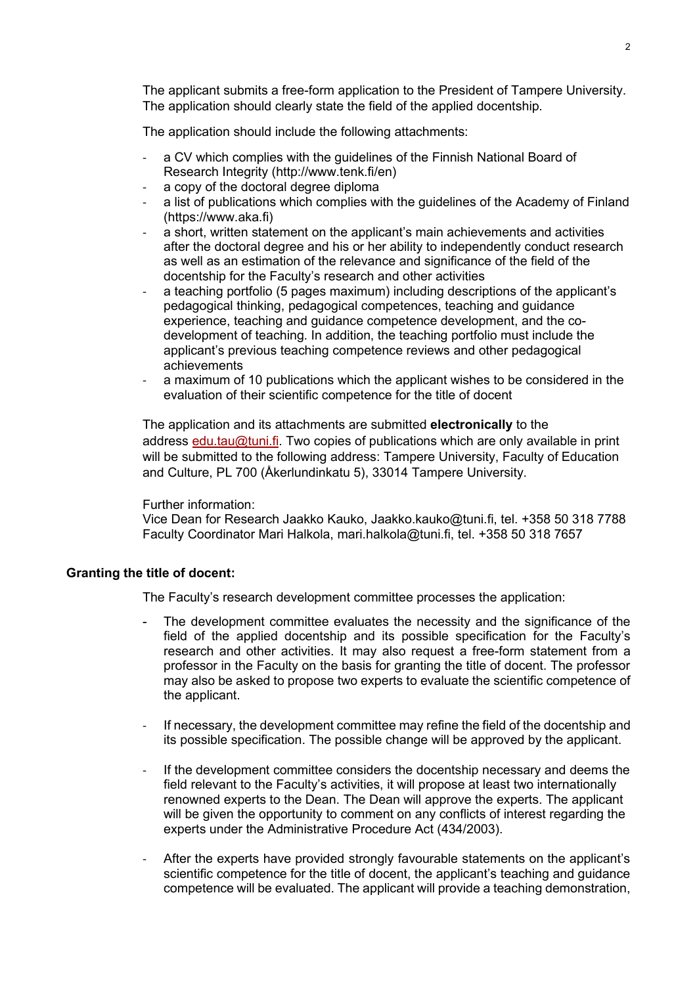The applicant submits a free-form application to the President of Tampere University. The application should clearly state the field of the applied docentship.

The application should include the following attachments:

- a CV which complies with the guidelines of the Finnish National Board of Research Integrity (http://www.tenk.fi/en)
- a copy of the doctoral degree diploma
- a list of publications which complies with the guidelines of the Academy of Finland (https://www.aka.fi)
- a short, written statement on the applicant's main achievements and activities after the doctoral degree and his or her ability to independently conduct research as well as an estimation of the relevance and significance of the field of the docentship for the Faculty's research and other activities
- a teaching portfolio (5 pages maximum) including descriptions of the applicant's pedagogical thinking, pedagogical competences, teaching and guidance experience, teaching and guidance competence development, and the codevelopment of teaching. In addition, the teaching portfolio must include the applicant's previous teaching competence reviews and other pedagogical achievements
- a maximum of 10 publications which the applicant wishes to be considered in the evaluation of their scientific competence for the title of docent

The application and its attachments are submitted **electronically** to the address [edu.tau@tuni.fi.](mailto:edu.tau@tuni.fi) Two copies of publications which are only available in print will be submitted to the following address: Tampere University, Faculty of Education and Culture, PL 700 (Åkerlundinkatu 5), 33014 Tampere University.

# Further information:

Vice Dean for Research Jaakko Kauko, Jaakko.kauko@tuni.fi, tel. +358 50 318 7788 Faculty Coordinator Mari Halkola, mari.halkola@tuni.fi, tel. +358 50 318 7657

# **Granting the title of docent:**

The Faculty's research development committee processes the application:

- The development committee evaluates the necessity and the significance of the field of the applied docentship and its possible specification for the Faculty's research and other activities. It may also request a free-form statement from a professor in the Faculty on the basis for granting the title of docent. The professor may also be asked to propose two experts to evaluate the scientific competence of the applicant.
- If necessary, the development committee may refine the field of the docentship and its possible specification. The possible change will be approved by the applicant.
- If the development committee considers the docentship necessary and deems the field relevant to the Faculty's activities, it will propose at least two internationally renowned experts to the Dean. The Dean will approve the experts. The applicant will be given the opportunity to comment on any conflicts of interest regarding the experts under the Administrative Procedure Act (434/2003).
- After the experts have provided strongly favourable statements on the applicant's scientific competence for the title of docent, the applicant's teaching and guidance competence will be evaluated. The applicant will provide a teaching demonstration,